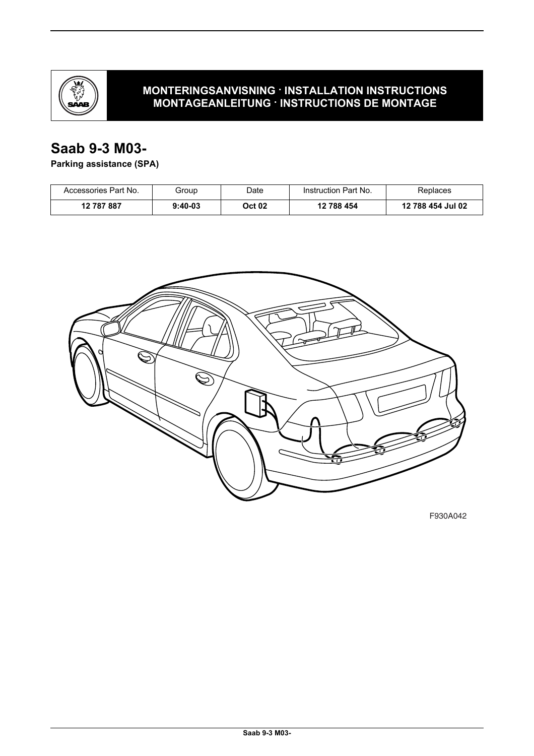

### **MONTERINGSANVISNING · INSTALLATION INSTRUCTIONS MONTAGEANLEITUNG · INSTRUCTIONS DE MONTAGE**

## **Saab 9-3 M03-**

**Parking assistance (SPA)**

| Accessories Part No. | Group     | Date   | Instruction Part No. | Replaces          |
|----------------------|-----------|--------|----------------------|-------------------|
| 12 787 887           | $9:40-03$ | Oct 02 | 12 788 454           | 12 788 454 Jul 02 |



F930A042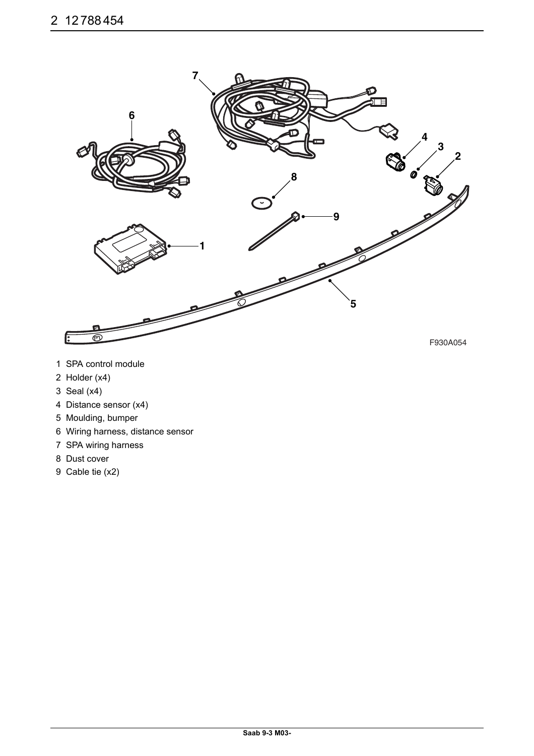

- 1 SPA control module
- 2 Holder (x4)
- 3 Seal (x4)
- 4 Distance sensor (x4)
- 5 Moulding, bumper
- 6 Wiring harness, distance sensor
- 7 SPA wiring harness
- 8 Dust cover
- 9 Cable tie (x2)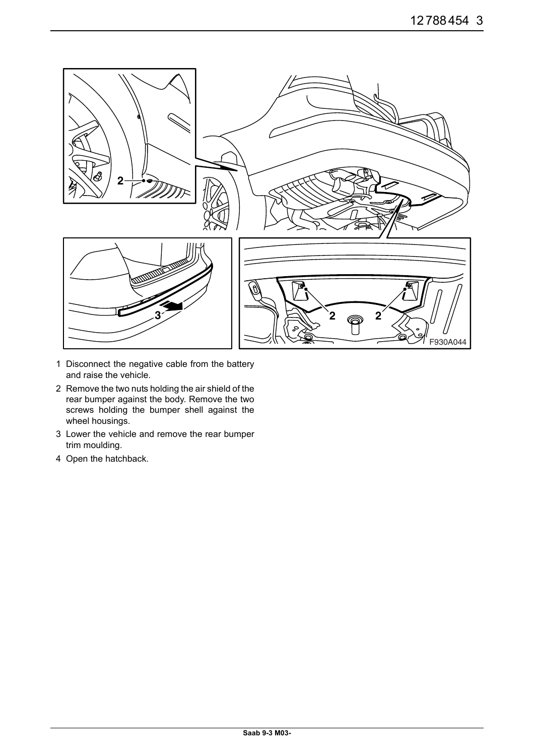

- 1 Disconnect the negative cable from the battery and raise the vehicle.
- 2 Remove the two nuts holding the air shield of the rear bumper against the body. Remove the two screws holding the bumper shell against the wheel housings.
- 3 Lower the vehicle and remove the rear bumper trim moulding.
- 4 Open the hatchback.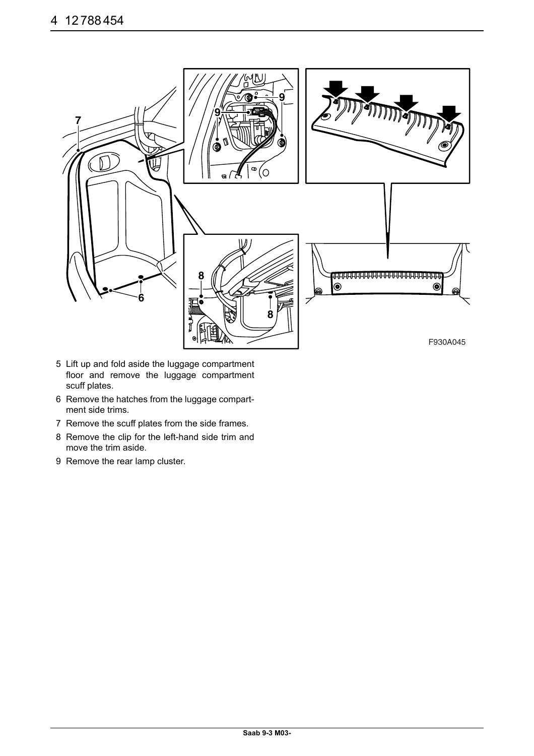![](_page_3_Picture_1.jpeg)

- 5 Lift up and fold aside the luggage compartment floor and remove the luggage compartment scuff plates.
- 6 Remove the hatches from the luggage compartment side trims.
- 7 Remove the scuff plates from the side frames.
- 8 Remove the clip for the left-hand side trim and move the trim aside.
- 9 Remove the rear lamp cluster.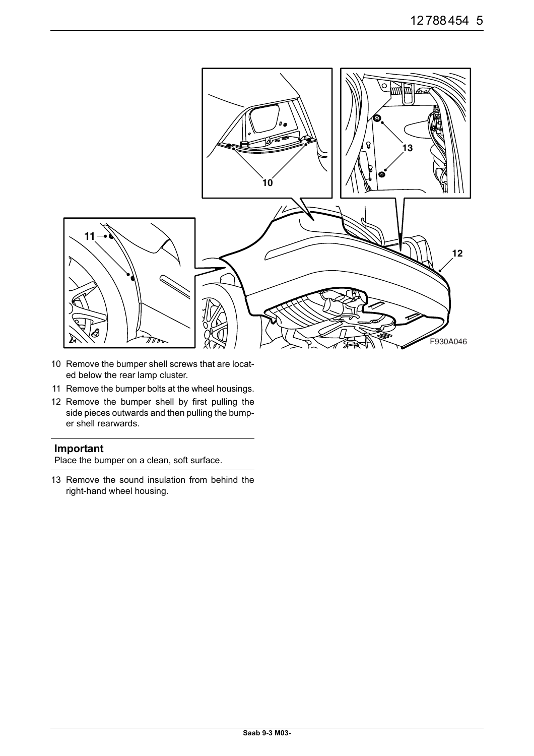![](_page_4_Figure_1.jpeg)

- 10 Remove the bumper shell screws that are located below the rear lamp cluster.
- 11 Remove the bumper bolts at the wheel housings.
- 12 Remove the bumper shell by first pulling the side pieces outwards and then pulling the bumper shell rearwards.

### **Important**

Place the bumper on a clean, soft surface.

13 Remove the sound insulation from behind the right-hand wheel housing.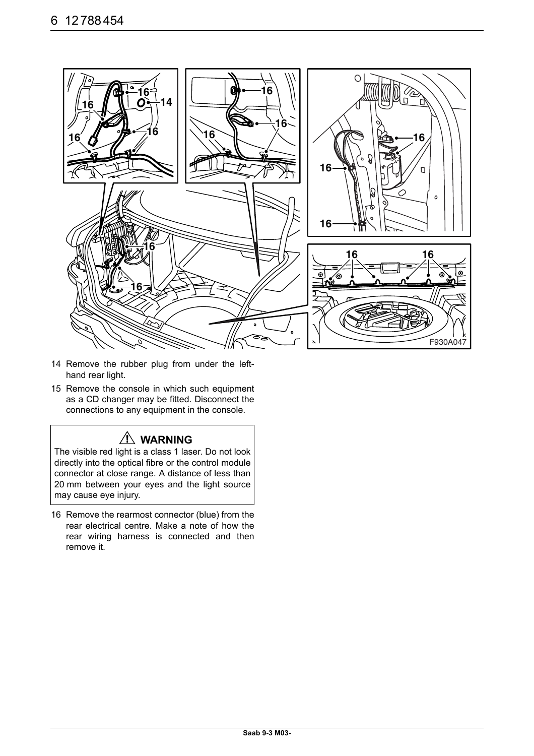![](_page_5_Picture_1.jpeg)

- 14 Remove the rubber plug from under the lefthand rear light.
- 15 Remove the console in which such equipment as a CD changer may be fitted. Disconnect the connections to any equipment in the console.

## **WARNING**

The visible red light is a class 1 laser. Do not look directly into the optical fibre or the control module connector at close range. A distance of less than 20 mm between your eyes and the light source may cause eye injury.

16 Remove the rearmost connector (blue) from the rear electrical centre. Make a note of how the rear wiring harness is connected and then remove it.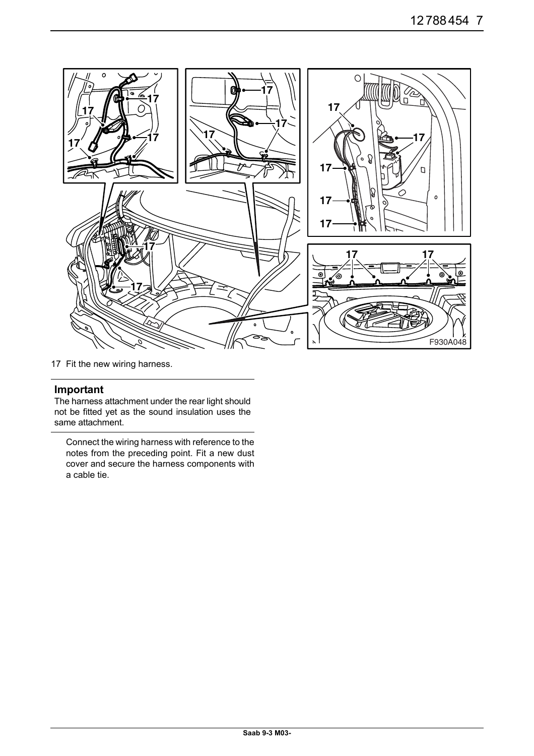![](_page_6_Picture_1.jpeg)

17 Fit the new wiring harness.

#### **Important**

The harness attachment under the rear light should not be fitted yet as the sound insulation uses the same attachment.

Connect the wiring harness with reference to the notes from the preceding point. Fit a new dust cover and secure the harness components with a cable tie.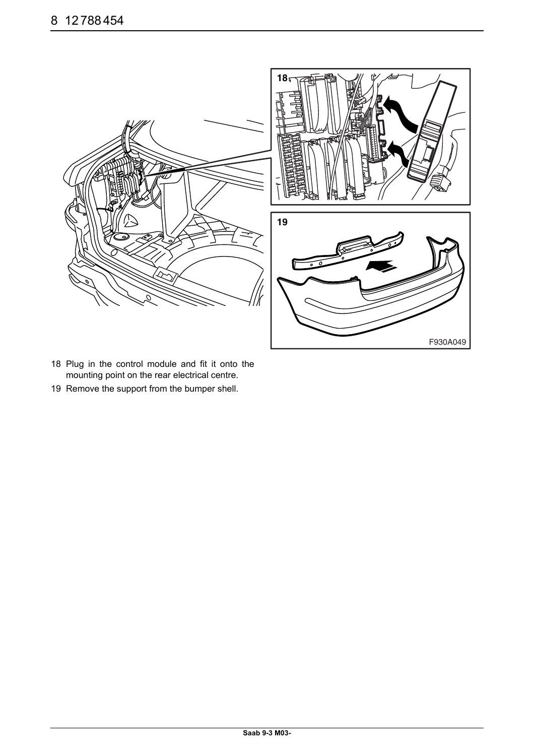![](_page_7_Picture_1.jpeg)

- 18 Plug in the control module and fit it onto the mounting point on the rear electrical centre.
- 19 Remove the support from the bumper shell.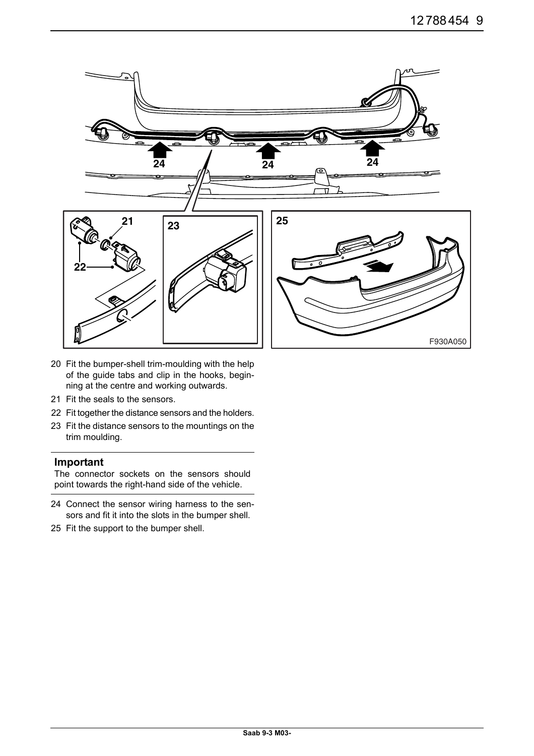![](_page_8_Figure_1.jpeg)

- 20 Fit the bumper-shell trim-moulding with the help of the guide tabs and clip in the hooks, beginning at the centre and working outwards.
- 21 Fit the seals to the sensors.
- 22 Fit together the distance sensors and the holders.
- 23 Fit the distance sensors to the mountings on the trim moulding.

#### **Important**

The connector sockets on the sensors should point towards the right-hand side of the vehicle.

- 24 Connect the sensor wiring harness to the sensors and fit it into the slots in the bumper shell.
- 25 Fit the support to the bumper shell.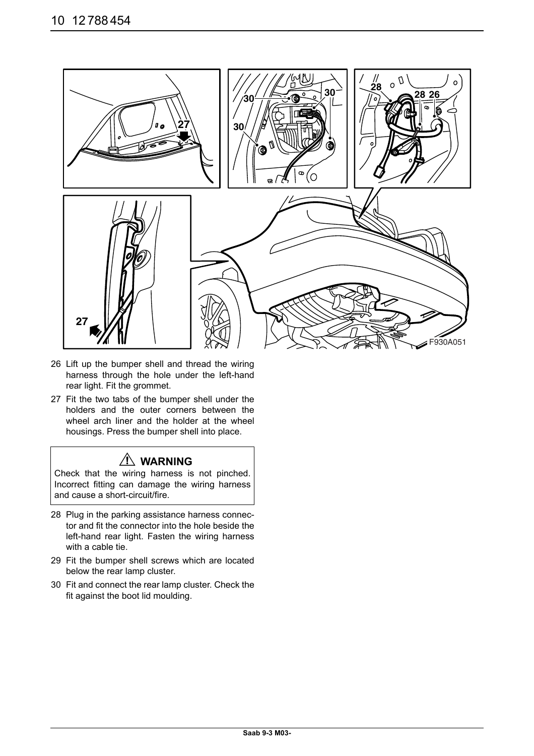![](_page_9_Picture_1.jpeg)

- 26 Lift up the bumper shell and thread the wiring harness through the hole under the left-hand rear light. Fit the grommet.
- 27 Fit the two tabs of the bumper shell under the holders and the outer corners between the wheel arch liner and the holder at the wheel housings. Press the bumper shell into place.

## **WARNING**

Check that the wiring harness is not pinched. Incorrect fitting can damage the wiring harness and cause a short-circuit/fire.

- 28 Plug in the parking assistance harness connector and fit the connector into the hole beside the left-hand rear light. Fasten the wiring harness with a cable tie.
- 29 Fit the bumper shell screws which are located below the rear lamp cluster.
- 30 Fit and connect the rear lamp cluster. Check the fit against the boot lid moulding.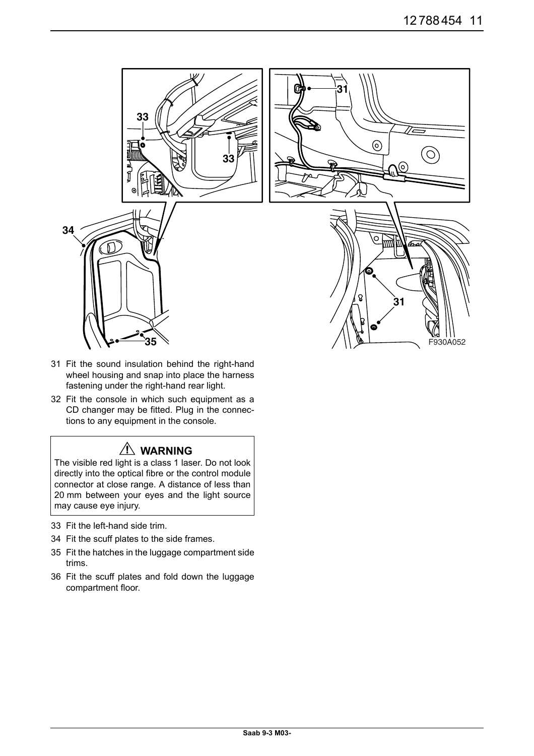![](_page_10_Picture_1.jpeg)

- 31 Fit the sound insulation behind the right-hand wheel housing and snap into place the harness fastening under the right-hand rear light.
- 32 Fit the console in which such equipment as a CD changer may be fitted. Plug in the connections to any equipment in the console.

# **WARNING**

The visible red light is a class 1 laser. Do not look directly into the optical fibre or the control module connector at close range. A distance of less than 20 mm between your eyes and the light source may cause eye injury.

- 33 Fit the left-hand side trim.
- 34 Fit the scuff plates to the side frames.
- 35 Fit the hatches in the luggage compartment side trims.
- 36 Fit the scuff plates and fold down the luggage compartment floor.